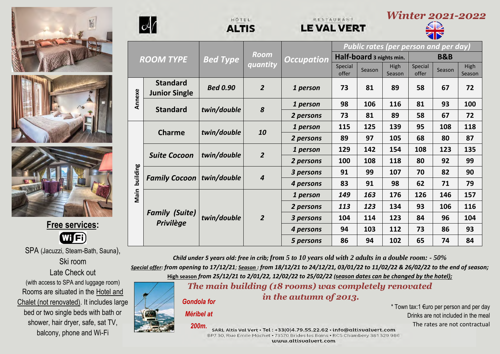





**Free services:** 日 Wi

SPA (Jacuzzi, Steam-Bath, Sauna), Ski room Late Check out (with access to SPA and luggage room) Rooms are situated in the Hotel and

Chalet (not renovated). It includes large bed or two single beds with bath or shower, hair dryer, safe, sat TV, balcony, phone and Wi-Fi



**Annexe**

**Main building**

Main building

|                  |                                           | HÔTEL<br><b>ALTIS</b> |                  | RESTAURANT<br><b>LE VAL VERT</b> |                                              |        | r v creeci<br>▗▅◡▄▄ |                  |        |                |
|------------------|-------------------------------------------|-----------------------|------------------|----------------------------------|----------------------------------------------|--------|---------------------|------------------|--------|----------------|
| <b>ROOM TYPE</b> |                                           | <b>Bed Type</b>       | Room<br>quantity | <b>Occupation</b>                | <b>Public rates (per person and per day)</b> |        |                     |                  |        |                |
|                  |                                           |                       |                  |                                  | Half-board 3 nights min.                     |        |                     | <b>B&amp;B</b>   |        |                |
|                  |                                           |                       |                  |                                  | Special<br>offer                             | Season | High<br>Season      | Special<br>offer | Season | High<br>Season |
|                  | <b>Standard</b><br><b>Junior Single</b>   | <b>Bed 0.90</b>       | $\overline{2}$   | 1 person                         | 73                                           | 81     | 89                  | 58               | 67     | 72             |
|                  | <b>Standard</b>                           | twin/double           | 8                | 1 person                         | 98                                           | 106    | 116                 | 81               | 93     | 100            |
|                  |                                           |                       |                  | 2 persons                        | 73                                           | 81     | 89                  | 58               | 67     | 72             |
|                  | <b>Charme</b>                             | twin/double           | 10               | 1 person                         | 115                                          | 125    | 139                 | 95               | 108    | 118            |
|                  |                                           |                       |                  | 2 persons                        | 89                                           | 97     | 105                 | 68               | 80     | 87             |
|                  | <b>Suite Cocoon</b>                       | twin/double           | $\overline{2}$   | 1 person                         | 129                                          | 142    | 154                 | 108              | 123    | 135            |
|                  |                                           |                       |                  | 2 persons                        | 100                                          | 108    | 118                 | 80               | 92     | 99             |
|                  | <b>Family Cocoon</b>                      | twin/double           | $\boldsymbol{4}$ | 3 persons                        | 91                                           | 99     | 107                 | 70               | 82     | 90             |
|                  |                                           |                       |                  | 4 persons                        | 83                                           | 91     | 98                  | 62               | 71     | 79             |
|                  | <b>Family (Suite)</b><br><b>Privilège</b> | twin/double           | $\overline{2}$   | 1 person                         | 149                                          | 163    | 176                 | 126              | 146    | 157            |
|                  |                                           |                       |                  | 2 persons                        | 113                                          | 123    | 134                 | 93               | 106    | 116            |
|                  |                                           |                       |                  | 3 persons                        | 104                                          | 114    | 123                 | 84               | 96     | 104            |
|                  |                                           |                       |                  | 4 persons                        | 94                                           | 103    | 112                 | 73               | 86     | 93             |
|                  |                                           |                       |                  | 5 persons                        | 86                                           | 94     | 102                 | 65               | 74     | 84             |

RESTAURANT

*Child under 5 years old: free in crib; from 5 to 10 years old with 2 adults in a double room: - 50%*

*Special offer: from opening to 17/12/21; Season : from 18/12/21 to 24/12/21, 03/01/22 to 11/02/22 & 26/02/22 to the end of season;* **High season** *from 25/12/21 to 2/01/22, 12/02/22 to 25/02/22 (season dates can be changed by the hotel);*

*The main building (18 rooms) was completely renovated*

*Gondola for* 

#### *Méribel at*

*in the autumn of 2013.* 

HÔTEL

\* Town tax:1 €uro per person and per day Drinks are not included in the meal The rates are not contractual

*Winter 2021-2022*

*200m.*SARL Altis Val Vert · Tel: +33(0)4.79.55.22.62 · info@altisualuert.com BP7 30, Rue Emile Machet · 73570 Brides les Bains · RCS Chambéry 381 329 986 www.altisualuert.com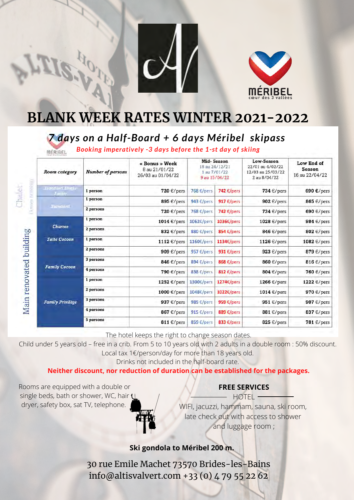



# **BLANK WEEK RATES WINTER 2021-2022**

# *7 days on a Half-Board + 6 days Méribel skipass*

*Booking imperatively -3 days before the 1-st day of skiing* MERIBEL

| <b>Room</b> category                 | <b>Number of persons</b> | « Bonus » Week<br>8 au 21/01/22<br>26/03 au 01/04/22 | <b>Mid-Season</b><br>18 au 24/12/21<br>1 au 7/01/22<br>9 au 15/04/22 |                         | Low-Season<br>22/01 au 4/02/22<br>12/03 au 25/03/22<br>2 au 8/04/22 | Low End of<br><b>Season</b><br>16 au 22/04/22 |  |
|--------------------------------------|--------------------------|------------------------------------------------------|----------------------------------------------------------------------|-------------------------|---------------------------------------------------------------------|-----------------------------------------------|--|
| <b>Ximadurd Single</b><br>$J$ linior | 1 person                 | 720 €/pers                                           | 768 $E/pers$                                                         | 742 €/pers              | 734 $\epsilon$ /pers                                                | 690 €/pers                                    |  |
|                                      | 1 person                 | 895 €/pers                                           | 943 $\varepsilon$ /pers                                              | 917 $\epsilon$ /pers    | 902 $\epsilon$ /pers                                                | 865 $\epsilon$ /pers                          |  |
| <b>Xunderd</b>                       | 2 persons                | 720 $\epsilon$ /pers                                 | 768 $E/pers$                                                         | 742 $\epsilon$ /pers    | 734 $\epsilon$ /pers                                                | 690 $\epsilon$ /pers                          |  |
| Charme                               | 1 person                 | 1014 €/pers                                          | 1062€/pers                                                           | 1036€/pers              | 1028 €/pers                                                         | 984 $\epsilon$ /pers                          |  |
|                                      | 2 persons                | 832 €/pers                                           | 880 €/pers                                                           | 854 $\epsilon$ /pers    | 846 $\epsilon$ /pers                                                | 802 $\epsilon$ /pers                          |  |
| <b>Suite Cocoon</b>                  | 1 person                 | 1112 €/pers                                          | 1160€/pers                                                           | 1134€/pers              | 1126 $\epsilon$ /pers                                               | 1082 €/pers                                   |  |
|                                      | 2 persons                | 909 $\epsilon$ /pers                                 | 957 $\varepsilon$ /pers                                              | 931 $\varepsilon$ /pers | 923 $\epsilon$ /pers                                                | 879 $\epsilon$ /pers                          |  |
| <b>Family Cocoon</b>                 | 3 persons                | 846 $\epsilon$ /pers                                 | 894 $\varepsilon$ /pers                                              | 868 $\epsilon$ /pers    | 860 €/pers                                                          | 816 $\epsilon$ /pers                          |  |
|                                      | 4 persons                | 790 €/pers                                           | 838 $\varepsilon$ /pers                                              | 812 $\epsilon$ /pers    | 804 $\epsilon$ /pers                                                | 760 €/pers                                    |  |
|                                      | 1 person                 | 1252 €/pers                                          | $1300$ E/pers                                                        | 1274€/pers              | 1266 $\epsilon$ /pers                                               | 1222 €/pers                                   |  |
| <b>Family Privilège</b>              | 2 persons                | 1000 €/pers                                          | $1048\varepsilon$ /pers                                              | 1022€/pers              | 1014 $\varepsilon$ /pers                                            | 970 €/pers                                    |  |
|                                      | 3 persons                | 937 $\epsilon$ /pers                                 | 985 $\varepsilon$ /pers                                              | 959 $\epsilon$ /pers    | 951 $\epsilon$ /pers                                                | 907 $\epsilon$ /pers                          |  |
|                                      | 4 persons                | 867 €/pers                                           | 915 $\varepsilon$ /pers                                              | 889 $\epsilon$ /pers    | 881 $\epsilon$ /pers                                                | 837 $\epsilon$ /pers                          |  |
|                                      | 5 persons                | 811 $\epsilon$ /pers                                 | 859 €/pers                                                           | 833 $\epsilon$ /pers    | 825 $\epsilon$ /pers                                                | 781 $\epsilon$ /pers                          |  |

The hotel keeps the right to change season dates.

Child under 5 years old – free in a crib. From 5 to 10 years old with 2 adults in a double room : 50% discount. Local tax 1€/person/day for more than 18 years old.

Drinks not included in the half-board rate.

### **Neither discount, nor reduction of duration can be established for the packages.**

Rooms are equipped with a double or single beds, bath or shower, WC, hair U dryer, safety box, sat TV, telephone.

Thalet

## **FREE SERVICES**

HOTEL<sup>-</sup> WIFI, jacuzzi, hammam, sauna, ski room, late check out with access to shower and luggage room ;

**Ski gondola to Méribel 200 m.**

30 rue Emile Machet 73570 Brides-les-Bains info@altisvalvert.com +33 (0) 4 79 55 22 62